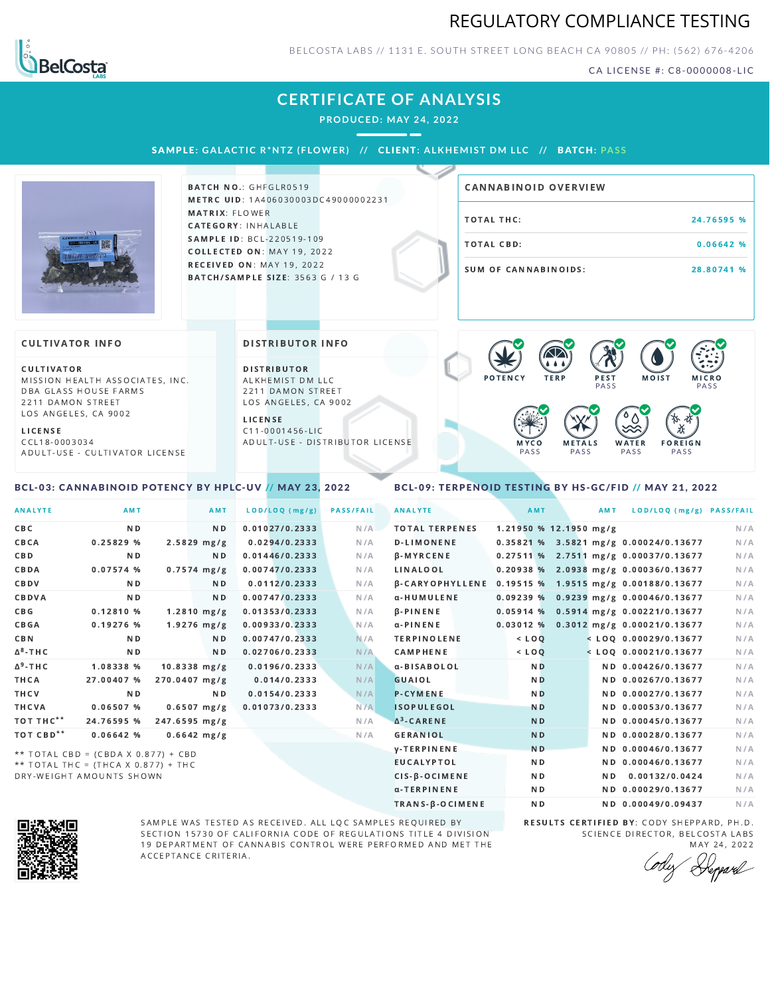### REGULATORY COMPLIANCE TESTING



BELCOSTA LABS // 1131 E. SOUTH STREET LONG BEACH C A 90805 // PH: (562) 676-4206

CA LICENSE #: C8-0000008-LIC

### **CERTIFICATE OF ANALYSIS**

**PRODUCED: MAY 24, 2022**

SAMPLE: GALACTIC R\*NTZ (FLOWER) // CLIENT: ALKHEMIST DM LLC // BATCH: PASS



BATCH NO.: GHFGLR0519 METRC UID: 1A406030003DC49000002231 MATRIX: FLOWER CATEGORY: INHALABLE SAMPLE ID: BCL-220519-109 COLLECTED ON: MAY 19, 2022 **RECEIVED ON: MAY 19, 2022** BATCH/SAMPLE SIZE: 3563 G / 13 G

# TOTAL THC: 24.76595 % TOTAL CBD: 0.06642 % SUM OF CANNABINOIDS: 28.80741 % CANNABINOID OVERVIEW

#### **CULTIVATOR INFO**

CULTIVATOR MISSION HEALTH ASSOCIATES, INC. DBA GLASS HOUSE FARMS 2211 DAMON STREET LOS ANGELES, CA 9002

L I C E N S E

C C L 1 8 - 0 0 0 3 0 3 4 A D U L T - U S E - C U L T I V A T O R L I CENSE

<span id="page-0-0"></span>BCL-03: CANNABINOID POTENCY BY HPLC-UV // MAY 23, 2022

DISTRIBUTOR INFO

D I STRIBUTOR ALKHEMIST DM LLC 2211 DAMON STREET LOS ANGELES, CA 9002

L I C E N S E C 1 1 - 0 0 0 1 4 5 6 - L I C A D U L T - U S E - D I STRIBUTOR LICENSE



<span id="page-0-1"></span>BCL-09: TERPENOID TESTING BY HS-GC/FID // MAY 21, 2022

| <b>ANALYTE</b>        | AMT                                 |                | AMT            | LOD/LOQ (mg/g) | <b>PASS/FAIL</b> | <b>ANALYTE</b>                                        | AMT                    | AMT | LOD/LOQ (mg/g) PASS/FAIL                |     |
|-----------------------|-------------------------------------|----------------|----------------|----------------|------------------|-------------------------------------------------------|------------------------|-----|-----------------------------------------|-----|
| C B C                 | N D                                 |                | N D            | 0.01027/0.2333 | N/A              | <b>TOTAL TERPENES</b>                                 | 1.21950 % 12.1950 mg/g |     |                                         | N/A |
| CBCA                  | 0.25829%                            | $2.5829$ mg/g  |                | 0.0294/0.2333  | N/A              | <b>D-LIMONENE</b>                                     |                        |     | 0.35821 % 3.5821 mg/g 0.00024/0.13677   | N/A |
| <b>CBD</b>            | N <sub>D</sub>                      |                | ND.            | 0.01446/0.2333 | N/A              | <b>B-MYRCENE</b>                                      |                        |     | 0.27511 % 2.7511 mg/g 0.00037/0.13677   | N/A |
| CBDA                  | $0.07574$ %                         | $0.7574$ mg/g  |                | 0.00747/0.2333 | N/A              | <b>LINALOOL</b>                                       |                        |     | $0.20938\%$ 2.0938 mg/g 0.00036/0.13677 | N/A |
| CBDV                  | N D                                 |                | ND.            | 0.0112/0.2333  | N/A              | β-CARYOPHYLLENE 0.19515 % 1.9515 mg/g 0.00188/0.13677 |                        |     |                                         | N/A |
| CBDVA                 | N <sub>D</sub>                      |                | ND.            | 0.00747/0.2333 | N/A              | α-HUMULENE                                            |                        |     | 0.09239 % 0.9239 mg/g 0.00046/0.13677   | N/A |
| C B G                 | 0.12810%                            | $1.2810$ mg/g  |                | 0.01353/0.2333 | N/A              | $\beta$ -PINENE                                       |                        |     | $0.05914$ % 0.5914 mg/g 0.00221/0.13677 | N/A |
| <b>CBGA</b>           | $0.19276$ %                         | $1.9276$ mg/g  |                | 0.00933/0.2333 | N/A              | α-PINENE                                              |                        |     | $0.03012$ % 0.3012 mg/g 0.00021/0.13677 | N/A |
| <b>CBN</b>            | N <sub>D</sub>                      |                | N D            | 0.00747/0.2333 | N/A              | <b>TERPINOLENE</b>                                    | $<$ LOQ                |     | $<$ LOQ 0.00029/0.13677                 | N/A |
| $\Delta^8$ -THC       | N <sub>D</sub>                      |                | N <sub>D</sub> | 0.02706/0.2333 | N/A              | <b>CAMPHENE</b>                                       | $<$ LOQ                |     | $<$ LOQ 0.00021/0.13677                 | N/A |
| $\Delta^9$ -THC       | 1.08338 %                           | $10.8338$ mg/g |                | 0.0196/0.2333  | N/A              | α-BISABOLOL                                           | N <sub>D</sub>         |     | ND 0.00426/0.13677                      | N/A |
| THCA                  | 27.00407 %                          | 270.0407 mg/g  |                | 0.014/0.2333   | N/A              | <b>GUAIOL</b>                                         | N <sub>D</sub>         |     | ND 0.00267/0.13677                      | N/A |
| THCV                  | ND.                                 |                | ND.            | 0.0154/0.2333  | N/A              | <b>P-CYMENE</b>                                       | N <sub>D</sub>         |     | ND 0.00027/0.13677                      | N/A |
| THCVA                 | 0.06507%                            | $0.6507$ mg/g  |                | 0.01073/0.2333 | N/A              | <b>ISOPULEGOL</b>                                     | <b>ND</b>              |     | ND 0.00053/0.13677                      | N/A |
| TOT THC**             | 24.76595 %                          | 247.6595 mg/g  |                |                | N/A              | $\Delta^3$ -CARENE                                    | N <sub>D</sub>         |     | ND 0.00045/0.13677                      | N/A |
| TOT CBD <sup>**</sup> | 0.06642%                            | $0.6642$ mg/g  |                |                | N/A              | <b>GERANIOL</b>                                       | <b>ND</b>              |     | ND 0.00028/0.13677                      | N/A |
|                       | ** TOTAL CBD = (CBDA X 0.877) + CBD |                |                |                |                  | <b>V-TERPINENE</b>                                    | <b>ND</b>              |     | ND 0.00046/0.13677                      | N/A |
|                       | ** TOTAL THC = (THCA X 0.877) + THC |                |                |                |                  | <b>EUCALYPTOL</b>                                     | N <sub>D</sub>         |     | ND 0.00046/0.13677                      | N/A |

 $**$  TOTAL THC = (THCA X 0.877) + THC DRY-WEIGHT AMOUNTS SHOWN



SAMPLE WAS TESTED AS RECEIVED. ALL LQC SAMPLES REQUIRED BY SECTION 15730 OF CALIFORNIA CODE OF REGULATIONS TITLE 4 DIVISION 19 DEPARTMENT OF CANNABIS CONTROL WERE PERFORMED AND MET THE A C C E P T A N C E C R I T E R I A.

RESULTS CERTIFIED BY: CODY SHEPPARD, PH.D. SCIENCE DIRECTOR, BELCOSTA LABS MAY 24, 2022

CIS-β-OCIMENE ND ND ND 0.00132/0.0424 N/A α-TERPINENE **ND ND 0.00029/0.13677** N/A TRANS-β-OCIMENE ND ND 0.00049/0.09437 N/A

Depard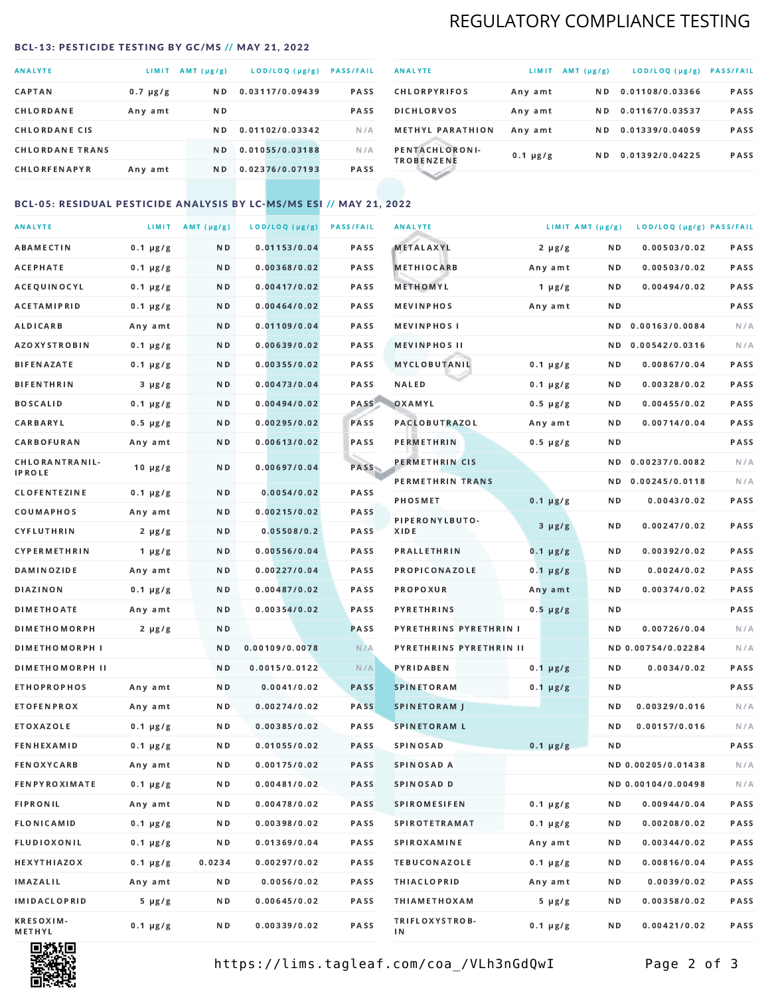# REGULATORY COMPLIANCE TESTING

#### <span id="page-1-0"></span>BCL-13: PESTICIDE TESTING BY GC/MS // MAY 21, 2022

| <b>ANALYTE</b>         | LIMIT         | $AMT(\mu g/g)$ | LOD/LOQ (µg/g)  | <b>PASS/FAIL</b> |
|------------------------|---------------|----------------|-----------------|------------------|
| <b>CAPTAN</b>          | $0.7 \mu g/g$ | ND.            | 0.03117/0.09439 | <b>PASS</b>      |
| CHLORDANE              | Any amt       | ND.            |                 | <b>PASS</b>      |
| <b>CHLORDANE CIS</b>   |               | ND.            | 0.01102/0.03342 | N/A              |
| <b>CHLORDANE TRANS</b> |               | N <sub>D</sub> | 0.01055/0.03188 | N/A              |
| <b>CHLORFENAPYR</b>    | Any amt       | N D            | 0.02376/0.07193 | <b>PASS</b>      |

| <b>ANALYTE</b>                      | LIMIT         | $AMT(\mu g/g)$ | LOD/LOQ (µg/g)  | <b>PASS/FAIL</b> |
|-------------------------------------|---------------|----------------|-----------------|------------------|
| <b>CHLORPYRIFOS</b>                 | Any amt       | N D            | 0.01108/0.03366 | <b>PASS</b>      |
| <b>DICHLORVOS</b>                   | Any amt       | N D.           | 0.01167/0.03537 | PASS             |
| <b>METHYL PARATHION</b>             | Any amt       | ND.            | 0.01339/0.04059 | <b>PASS</b>      |
| PENTACHLORONI-<br><b>TROBENZENE</b> | $0.1 \mu g/g$ | ND.            | 0.01392/0.04225 | <b>PASS</b>      |
|                                     |               |                |                 |                  |

### BCL-05: RESIDUAL PESTICIDE ANALYSIS BY LC-MS/MS ESI // MAY 21, 2022

| <b>ANALYTE</b>                               |               | LIMIT AMT $(\mu g/g)$ | LOD/LOQ (µg/g) | <b>PASS/FAIL</b> | <b>ANALYTE</b>                                    | LIMIT AMT (µg/g) |            | LOD/LOQ (µg/g) PASS/FAIL           |            |
|----------------------------------------------|---------------|-----------------------|----------------|------------------|---------------------------------------------------|------------------|------------|------------------------------------|------------|
| ABAMECTIN                                    | $0.1 \mu g/g$ | N D                   | 0.01153/0.04   | PASS             | <b>METALAXYL</b>                                  | $2 \mu g/g$      | N D        | 0.00503/0.02                       | PASS       |
| <b>ACEPHATE</b>                              | $0.1 \mu g/g$ | N D                   | 0.00368/0.02   | PASS             | <b>METHIOCARB</b>                                 | Any amt          | N D        | 0.00503/0.02                       | PASS       |
| ACEQUINOCYL                                  | $0.1 \mu g/g$ | N D                   | 0.00417/0.02   | PASS             | METHOMYL                                          | 1 $\mu$ g/g      | N D        | 0.00494/0.02                       | PASS       |
| <b>ACETAMIPRID</b>                           | $0.1 \mu g/g$ | N D                   | 0.00464/0.02   | PASS             | <b>MEVINPHOS</b>                                  | Any amt          | N D        |                                    | PASS       |
| ALDICARB                                     | Any amt       | N D                   | 0.01109/0.04   | PASS             | <b>MEVINPHOSI</b>                                 |                  | N D        | 0.00163/0.0084                     | N/A        |
| AZOXYSTROBIN                                 | $0.1 \mu g/g$ | N D                   | 0.00639/0.02   | PASS             | <b>MEVINPHOS II</b>                               |                  | N D        | 0.00542/0.0316                     | N/A        |
| <b>BIFENAZATE</b>                            | $0.1 \mu g/g$ | N D                   | 0.00355/0.02   | PASS             | MYCLOBUTANIL                                      | $0.1 \mu g/g$    | N D        | 0.00867/0.04                       | PASS       |
| <b>BIFENTHRIN</b>                            | $3 \mu g/g$   | N D                   | 0.00473/0.04   | PASS             | <b>NALED</b>                                      | $0.1 \mu g/g$    | N D        | 0.00328/0.02                       | PASS       |
| <b>BOSCALID</b>                              | $0.1 \mu g/g$ | N D                   | 0.00494/0.02   | PASS             | OXAMYL                                            | $0.5 \mu g/g$    | N D        | 0.00455/0.02                       | PASS       |
| CARBARYL                                     | $0.5 \mu g/g$ | ND.                   | 0.00295/0.02   | PASS             | <b>PACLOBUTRAZOL</b>                              | Any amt          | N D        | 0.00714/0.04                       | PASS       |
| CARBOFURAN                                   | Any amt       | N D                   | 0.00613/0.02   | PASS             | <b>PERMETHRIN</b>                                 | $0.5 \mu g/g$    | N D        |                                    | PASS       |
| CHLORANTRANIL-                               | $10 \mu g/g$  | N D                   | 0.00697/0.04   | PASS             | PERMETHRIN CIS                                    |                  | N D        | 0.00237/0.0082                     | N/A        |
| <b>IPROLE</b>                                |               |                       |                |                  | PERMETHRIN TRANS                                  |                  |            | ND 0.00245/0.0118                  | N/A        |
| <b>CLOFENTEZINE</b>                          | $0.1 \mu g/g$ | N D                   | 0.0054/0.02    | PASS             | <b>PHOSMET</b>                                    | $0.1 \mu g/g$    | N D        | 0.0043/0.02                        | PASS       |
| COUMAPHOS                                    | Any amt       | N D                   | 0.00215/0.02   | PASS             | PIPERONYLBUTO-                                    | $3 \mu g/g$      | N D        | 0.00247/0.02                       | PASS       |
| CYFLUTHRIN                                   | $2 \mu g/g$   | N D                   | 0.05508/0.2    | <b>PASS</b>      | XIDE                                              |                  |            |                                    |            |
| <b>CYPERMETHRIN</b>                          | 1 $\mu$ g/g   | N D                   | 0.00556/0.04   | PASS             | <b>PRALLETHRIN</b>                                | $0.1 \mu g/g$    | N D        | 0.00392/0.02                       | PASS       |
| <b>DAMINOZIDE</b>                            | Any amt       | N D                   | 0.00227/0.04   | PASS             | PROPICONAZOLE                                     | $0.1 \mu g/g$    | N D        | 0.0024/0.02                        | PASS       |
| DIAZINON                                     | $0.1 \mu g/g$ | N D                   | 0.00487/0.02   | <b>PASS</b>      | <b>PROPOXUR</b>                                   | Any amt          | N D        | 0.00374/0.02                       | PASS       |
| <b>DIMETHOATE</b>                            | Any amt       | N D                   | 0.00354/0.02   | PASS<br>PASS     | <b>PYRETHRINS</b>                                 | $0.5 \mu g/g$    | N D<br>N D |                                    | PASS       |
| <b>DIMETHOMORPH</b><br><b>DIMETHOMORPH I</b> | $2 \mu g/g$   | N D<br>N D            | 0.00109/0.0078 | N/A              | PYRETHRINS PYRETHRIN I<br>PYRETHRINS PYRETHRIN II |                  |            | 0.00726/0.04<br>ND 0.00754/0.02284 | N/A<br>N/A |
| <b>DIMETHOMORPH II</b>                       |               | ND                    | 0.0015/0.0122  | N/A              | PYRIDABEN                                         | $0.1 \mu g/g$    | N D        | 0.0034/0.02                        | PASS       |
| <b>ETHOPROPHOS</b>                           | Any amt       | N D                   | 0.0041/0.02    | <b>PASS</b>      | <b>SPINETORAM</b>                                 |                  | N D        |                                    | PASS       |
| <b>ETOFENPROX</b>                            | Any amt       | N D                   | 0.00274/0.02   | <b>PASS</b>      | <b>SPINETORAM J</b>                               | $0.1 \mu g/g$    | N D        | 0.00329/0.016                      | N/A        |
| <b>ETOXAZOLE</b>                             | $0.1 \mu g/g$ | N D                   | 0.00385/0.02   | PASS             | <b>SPINETORAM L</b>                               |                  | ND.        | 0.00157/0.016                      | N/A        |
| <b>FENHEXAMID</b>                            | $0.1 \mu g/g$ | N D                   | 0.01055/0.02   | <b>PASS</b>      | <b>SPINOSAD</b>                                   | $0.1 \mu g/g$    | N D        |                                    | PASS       |
| <b>FENOXYCARB</b>                            | Any amt       | N D                   | 0.00175/0.02   | <b>PASS</b>      | SPINOSAD A                                        |                  |            | ND 0.00205/0.01438                 | N/A        |
| <b>FENPYROXIMATE</b>                         | $0.1 \mu g/g$ | N D                   | 0.00481/0.02   | PASS             | SPINOSAD D                                        |                  |            | ND 0.00104/0.00498                 | N/A        |
| <b>FIPRONIL</b>                              | Any amt       | N D                   | 0.00478/0.02   | PASS             | <b>SPIROMESIFEN</b>                               | $0.1 \mu g/g$    | ND.        | 0.00944/0.04                       | PASS       |
| FLONICAMID                                   | $0.1 \mu g/g$ | N D                   | 0.00398/0.02   | PASS             | <b>SPIROTETRAMAT</b>                              | $0.1 \mu g/g$    | N D        | 0.00208/0.02                       | PASS       |
| <b>FLUDIOXONIL</b>                           | $0.1 \mu g/g$ | N D                   | 0.01369/0.04   | PASS             | SPIROXAMINE                                       | Any amt          | N D        | 0.00344/0.02                       | PASS       |
| HEXYTHIAZOX                                  | $0.1 \mu g/g$ | 0.0234                | 0.00297/0.02   | PASS             | <b>TEBUCONAZOLE</b>                               | $0.1 \mu g/g$    | N D        | 0.00816/0.04                       | PASS       |
| IMAZALIL                                     | Any amt       | N D                   | 0.0056/0.02    | PASS             | <b>THIACLOPRID</b>                                | Any amt          | N D        | 0.0039/0.02                        | PASS       |
| IMIDACLOPRID                                 | $5 \mu g/g$   | N D                   | 0.00645/0.02   | PASS             | <b>THIAMETHOXAM</b>                               | $5 \mu g/g$      | N D        | 0.00358/0.02                       | PASS       |
| <b>KRESOXIM-</b><br>METHYL                   | $0.1 \mu g/g$ | N D                   | 0.00339/0.02   | PASS             | TRIFLOXYSTROB-<br>ΙN                              | $0.1 \mu g/g$    | N D        | 0.00421/0.02                       | PASS       |